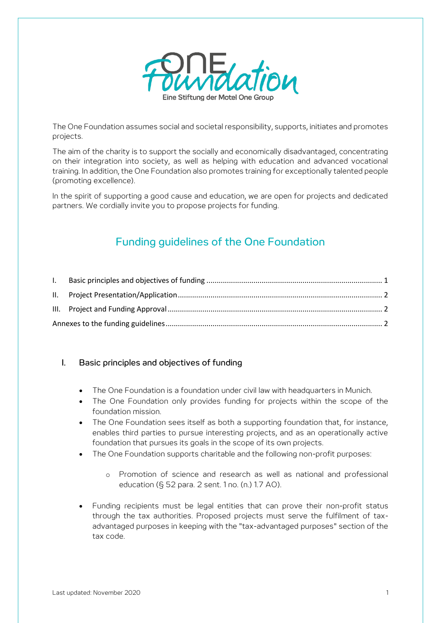

The One Foundation assumes social and societal responsibility, supports, initiates and promotes projects.

The aim of the charity is to support the socially and economically disadvantaged, concentrating on their integration into society, as well as helping with education and advanced vocational training. In addition, the One Foundation also promotes training for exceptionally talented people (promoting excellence).

In the spirit of supporting a good cause and education, we are open for projects and dedicated partners. We cordially invite you to propose projects for funding.

# Funding guidelines of the One Foundation

### <span id="page-0-0"></span>I. Basic principles and objectives of funding

- The One Foundation is a foundation under civil law with headquarters in Munich.
- The One Foundation only provides funding for projects within the scope of the foundation mission.
- The One Foundation sees itself as both a supporting foundation that, for instance, enables third parties to pursue interesting projects, and as an operationally active foundation that pursues its goals in the scope of its own projects.
- The One Foundation supports charitable and the following non-profit purposes:
	- o Promotion of science and research as well as national and professional education (§ 52 para. 2 sent. 1 no. (n.) 1.7 AO).
- Funding recipients must be legal entities that can prove their non-profit status through the tax authorities. Proposed projects must serve the fulfilment of taxadvantaged purposes in keeping with the "tax-advantaged purposes" section of the tax code.